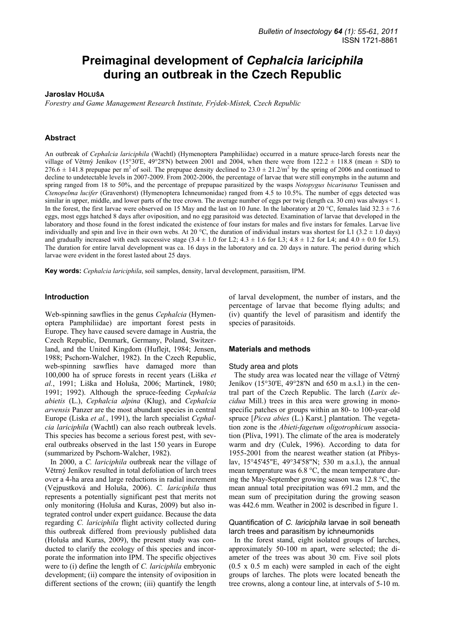# **Preimaginal development of** *Cephalcia lariciphila* **during an outbreak in the Czech Republic**

## **Jaroslav HOLUŠA**

*Forestry and Game Management Research Institute, Frýdek-Místek, Czech Republic* 

## **Abstract**

An outbreak of *Cephalcia lariciphila* (Wachtl) (Hymenoptera Pamphiliidae) occurred in a mature spruce-larch forests near the village of Větrný Jeníkov (15°30'E, 49°28'N) between 2001 and 2004, when there were from 122.2  $\pm$  118.8 (mean  $\pm$  SD) to  $276.6 \pm 141.8$  prepupae per m<sup>2</sup> of soil. The prepupae density declined to  $23.0 \pm 21.2/m^2$  by the spring of 2006 and continued to decline to undetectable levels in 2007-2009. From 2002-2006, the percentage of larvae that were still eonymphs in the autumn and spring ranged from 18 to 50%, and the percentage of prepupae parasitized by the wasps *Notopygus bicarinatus* Teunissen and *Ctenopelma lucifer* (Gravenhorst) (Hymenoptera Ichneumonidae) ranged from 4.5 to 10.5%. The number of eggs detected was similar in upper, middle, and lower parts of the tree crown. The average number of eggs per twig (length ca. 30 cm) was always < 1. In the forest, the first larvae were observed on 15 May and the last on 10 June. In the laboratory at 20 °C, females laid 32.3  $\pm$  7.6 eggs, most eggs hatched 8 days after oviposition, and no egg parasitoid was detected. Examination of larvae that developed in the laboratory and those found in the forest indicated the existence of four instars for males and five instars for females. Larvae live individually and spin and live in their own webs. At 20  $^{\circ}$ C, the duration of individual instars was shortest for L1 (3.2  $\pm$  1.0 days) and gradually increased with each successive stage  $(3.4 \pm 1.0$  for L2;  $4.3 \pm 1.6$  for L3;  $4.8 \pm 1.2$  for L4; and  $4.0 \pm 0.0$  for L5). The duration for entire larval development was ca. 16 days in the laboratory and ca. 20 days in nature. The period during which larvae were evident in the forest lasted about 25 days.

**Key words:** *Cephalcia lariciphila*, soil samples, density, larval development, parasitism, IPM.

## **Introduction**

Web-spinning sawflies in the genus *Cephalcia* (Hymenoptera Pamphiliidae) are important forest pests in Europe. They have caused severe damage in Austria, the Czech Republic, Denmark, Germany, Poland, Switzerland, and the United Kingdom (Huflejt, 1984; Jensen, 1988; Pschorn-Walcher, 1982). In the Czech Republic, web-spinning sawflies have damaged more than 100,000 ha of spruce forests in recent years (Liška *et al.*, 1991; Liška and Holuša, 2006; Martinek, 1980; 1991; 1992). Although the spruce-feeding *Cephalcia abietis* (L.), *Cephalcia alpina* (Klug), and *Cephalcia arvensis* Panzer are the most abundant species in central Europe (Liska *et al.*, 1991), the larch specialist *Cephalcia lariciphila* (Wachtl) can also reach outbreak levels. This species has become a serious forest pest, with several outbreaks observed in the last 150 years in Europe (summarized by Pschorn-Walcher, 1982).

In 2000, a *C. lariciphila* outbreak near the village of Větrný Jeníkov resulted in total defoliation of larch trees over a 4-ha area and large reductions in radial increment (Vejpustková and Holuša, 2006). *C. lariciphila* thus represents a potentially significant pest that merits not only monitoring (Holuša and Kuras, 2009) but also integrated control under expert guidance. Because the data regarding *C. lariciphila* flight activity collected during this outbreak differed from previously published data (Holuša and Kuras, 2009), the present study was conducted to clarify the ecology of this species and incorporate the information into IPM. The specific objectives were to (i) define the length of *C. lariciphila* embryonic development; (ii) compare the intensity of oviposition in different sections of the crown; (iii) quantify the length

of larval development, the number of instars, and the percentage of larvae that become flying adults; and (iv) quantify the level of parasitism and identify the species of parasitoids.

#### **Materials and methods**

#### Study area and plots

The study area was located near the village of Větrný Jeníkov (15°30'E, 49°28'N and 650 m a.s.l.) in the central part of the Czech Republic. The larch (*Larix decidua* Mill.) trees in this area were growing in monospecific patches or groups within an 80- to 100-year-old spruce [*Picea abies* (L.) Karst.] plantation. The vegetation zone is the *Abieti*-*fagetum oligotrophicum* association (Plíva, 1991). The climate of the area is moderately warm and dry (Culek, 1996). According to data for 1955-2001 from the nearest weather station (at Přibyslav, 15°45'45"E, 49°34'58"N; 530 m a.s.l.), the annual mean temperature was 6.8 °C, the mean temperature during the May-September growing season was 12.8 °C, the mean annual total precipitation was 691.2 mm, and the mean sum of precipitation during the growing season was 442.6 mm. Weather in 2002 is described in figure 1.

## Quantification of *C. lariciphila* larvae in soil beneath larch trees and parasitism by ichneumonids

In the forest stand, eight isolated groups of larches, approximately 50-100 m apart, were selected; the diameter of the trees was about 30 cm. Five soil plots (0.5 x 0.5 m each) were sampled in each of the eight groups of larches. The plots were located beneath the tree crowns, along a contour line, at intervals of 5-10 m.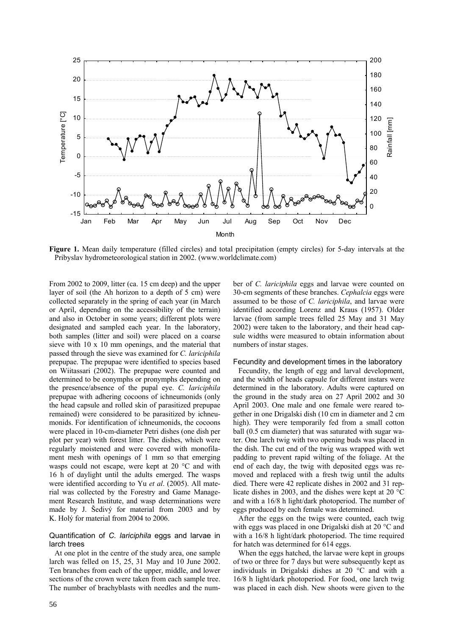

**Figure 1.** Mean daily temperature (filled circles) and total precipitation (empty circles) for 5-day intervals at the Pribyslav hydrometeorological station in 2002. (www.worldclimate.com)

From 2002 to 2009, litter (ca. 15 cm deep) and the upper layer of soil (the Ah horizon to a depth of 5 cm) were collected separately in the spring of each year (in March or April, depending on the accessibility of the terrain) and also in October in some years; different plots were designated and sampled each year. In the laboratory, both samples (litter and soil) were placed on a coarse sieve with 10 x 10 mm openings, and the material that passed through the sieve was examined for *C. lariciphila* prepupae. The prepupae were identified to species based on Wiitassari (2002). The prepupae were counted and determined to be eonymphs or pronymphs depending on the presence/absence of the pupal eye. *C. lariciphila* prepupae with adhering cocoons of ichneumonids (only the head capsule and rolled skin of parasitized prepupae remained) were considered to be parasitized by ichneumonids. For identification of ichneumonids, the cocoons were placed in 10-cm-diameter Petri dishes (one dish per plot per year) with forest litter. The dishes, which were regularly moistened and were covered with monofilament mesh with openings of 1 mm so that emerging wasps could not escape, were kept at 20 °C and with 16 h of daylight until the adults emerged. The wasps were identified according to Yu *et al*. (2005). All material was collected by the Forestry and Game Management Research Institute, and wasp determinations were made by J. Šedivý for material from 2003 and by K. Holý for material from 2004 to 2006.

## Quantification of *C. lariciphila* eggs and larvae in larch trees

At one plot in the centre of the study area, one sample larch was felled on 15, 25, 31 May and 10 June 2002. Ten branches from each of the upper, middle, and lower sections of the crown were taken from each sample tree. The number of brachyblasts with needles and the number of *C. lariciphila* eggs and larvae were counted on 30-cm segments of these branches. *Cephalcia* eggs were assumed to be those of *C. lariciphila*, and larvae were identified according Lorenz and Kraus (1957). Older larvae (from sample trees felled 25 May and 31 May 2002) were taken to the laboratory, and their head capsule widths were measured to obtain information about numbers of instar stages.

#### Fecundity and development times in the laboratory

Fecundity, the length of egg and larval development, and the width of heads capsule for different instars were determined in the laboratory. Adults were captured on the ground in the study area on 27 April 2002 and 30 April 2003. One male and one female were reared together in one Drigalski dish (10 cm in diameter and 2 cm high). They were temporarily fed from a small cotton ball (0.5 cm diameter) that was saturated with sugar water. One larch twig with two opening buds was placed in the dish. The cut end of the twig was wrapped with wet padding to prevent rapid wilting of the foliage. At the end of each day, the twig with deposited eggs was removed and replaced with a fresh twig until the adults died. There were 42 replicate dishes in 2002 and 31 replicate dishes in 2003, and the dishes were kept at 20 °C and with a 16/8 h light/dark photoperiod. The number of eggs produced by each female was determined.

After the eggs on the twigs were counted, each twig with eggs was placed in one Drigalski dish at 20 °C and with a 16/8 h light/dark photoperiod. The time required for hatch was determined for 614 eggs.

When the eggs hatched, the larvae were kept in groups of two or three for 7 days but were subsequently kept as individuals in Drigalski dishes at 20 °C and with a 16/8 h light/dark photoperiod. For food, one larch twig was placed in each dish. New shoots were given to the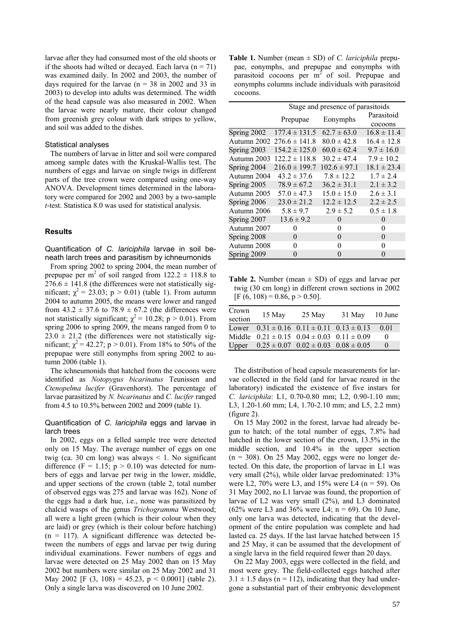larvae after they had consumed most of the old shoots or if the shoots had wilted or decayed. Each larva  $(n = 71)$ was examined daily. In 2002 and 2003, the number of days required for the larvae ( $n = 38$  in 2002 and 33 in 2003) to develop into adults was determined. The width of the head capsule was also measured in 2002. When the larvae were nearly mature, their colour changed from greenish grey colour with dark stripes to yellow, and soil was added to the dishes.

## Statistical analyses

The numbers of larvae in litter and soil were compared among sample dates with the Kruskal-Wallis test. The numbers of eggs and larvae on single twigs in different parts of the tree crown were compared using one-way ANOVA. Development times determined in the laboratory were compared for 2002 and 2003 by a two-sample *t*-test. Statistica 8.0 was used for statistical analysis.

# **Results**

Quantification of *C. lariciphila* larvae in soil beneath larch trees and parasitism by ichneumonids

From spring 2002 to spring 2004, the mean number of prepupae per m<sup>2</sup> of soil ranged from  $122.2 \pm 118.8$  to  $276.6 \pm 141.8$  (the differences were not statistically significant;  $\chi^2 = 23.03$ ; p > 0.01) (table 1). From autumn 2004 to autumn 2005, the means were lower and ranged from  $43.2 \pm 37.6$  to  $78.9 \pm 67.2$  (the differences were not statistically significant;  $\chi^2 = 10.28$ ; p > 0.01). From spring 2006 to spring 2009, the means ranged from 0 to  $23.0 \pm 21.2$  (the differences were not statistically significant;  $\chi^2$  = 42.27; p > 0.01). From 18% to 50% of the prepupae were still eonymphs from spring 2002 to autumn 2006 (table 1).

The ichneumonids that hatched from the cocoons were identified as *Notopygus bicarinatus* Teunissen and *Ctenopelma lucifer* (Gravenhorst). The percentage of larvae parasitized by *N. bicarinatus* and *C. lucifer* ranged from 4.5 to 10.5% between 2002 and 2009 (table 1).

## Quantification of *C. lariciphila* eggs and larvae in larch trees

In 2002, eggs on a felled sample tree were detected only on 15 May. The average number of eggs on one twig (ca. 30 cm long) was always  $\leq$  1. No significant difference (F = 1.15;  $p > 0.10$ ) was detected for numbers of eggs and larvae per twig in the lower, middle, and upper sections of the crown (table 2, total number of observed eggs was 275 and larvae was 162). None of the eggs had a dark hue, i.e., none was parasitized by chalcid wasps of the genus *Trichogramma* Westwood; all were a light green (which is their colour when they are laid) or grey (which is their colour before hatching)  $(n = 117)$ . A significant difference was detected between the numbers of eggs and larvae per twig during individual examinations. Fewer numbers of eggs and larvae were detected on 25 May 2002 than on 15 May 2002 but numbers were similar on 25 May 2002 and 31 May 2002 [F  $(3, 108) = 45.23$ ,  $p < 0.0001$ ] (table 2). Only a single larva was discovered on 10 June 2002.

**Table 1.** Number (mean ± SD) of *C. lariciphila* prepupae, eonymphs, and prepupae and eonymphs with parasitoid cocoons per  $m<sup>2</sup>$  of soil. Prepupae and eonymphs columns include individuals with parasitoid cocoons.

|             | Stage and presence of parasitoids |                  |                 |  |  |
|-------------|-----------------------------------|------------------|-----------------|--|--|
|             |                                   | Eonymphs         | Parasitoid      |  |  |
|             | Prepupae                          |                  | cocoons         |  |  |
| Spring 2002 | $177.4 \pm 131.5$                 | $62.7 \pm 63.0$  | $16.8 \pm 11.4$ |  |  |
| Autumn 2002 | $276.6 \pm 141.8$                 | $80.0 \pm 42.8$  | $16.4 \pm 12.8$ |  |  |
| Spring 2003 | $154.2 \pm 125.0$                 | $60.0 \pm 62.4$  | $9.7 \pm 16.0$  |  |  |
| Autumn 2003 | $122.2 \pm 118.8$                 | $30.2 \pm 47.4$  | $7.9 \pm 10.2$  |  |  |
| Spring 2004 | $216.0 \pm 199.7$                 | $102.6 \pm 97.1$ | $18.1 \pm 23.4$ |  |  |
| Autumn 2004 | $43.2 \pm 37.6$                   | $7.8 \pm 12.2$   | $1.7 \pm 2.4$   |  |  |
| Spring 2005 | $78.9 \pm 67.2$                   | $36.2 \pm 31.1$  | $2.1 \pm 3.2$   |  |  |
| Autumn 2005 | $57.0 \pm 47.3$                   | $15.0 \pm 15.0$  | $2.6 \pm 3.1$   |  |  |
| Spring 2006 | $23.0 \pm 21.2$                   | $12.2 \pm 12.5$  | $2.2 \pm 2.5$   |  |  |
| Autumn 2006 | $5.8 \pm 9.7$                     | $2.9 \pm 5.2$    | $0.5 \pm 1.8$   |  |  |
| Spring 2007 | $13.6 \pm 9.2$                    | 0                | 0               |  |  |
| Autumn 2007 | 0                                 | 0                | 0               |  |  |
| Spring 2008 | $\Omega$                          | $\Omega$         | $\Omega$        |  |  |
| Autumn 2008 | 0                                 | 0                | 0               |  |  |
| Spring 2009 | $\Omega$                          | $\Omega$         | 0               |  |  |

**Table 2.** Number (mean  $\pm$  SD) of eggs and larvae per twig (30 cm long) in different crown sections in 2002  $[F (6, 108) = 0.86, p > 0.50].$ 

| Crown<br>section | 15 May                                                 | 25 May                                          | 31 May | 10 June  |
|------------------|--------------------------------------------------------|-------------------------------------------------|--------|----------|
| Lower            |                                                        | $0.31 \pm 0.16$ $0.11 \pm 0.11$ $0.13 \pm 0.13$ |        | 0.01     |
|                  | Middle $0.21 \pm 0.15$ $0.04 \pm 0.03$ $0.11 \pm 0.09$ |                                                 |        | $\theta$ |
| Upper            |                                                        | $0.25 \pm 0.07$ $0.02 \pm 0.03$ $0.08 \pm 0.05$ |        | $\theta$ |

The distribution of head capsule measurements for larvae collected in the field (and for larvae reared in the laboratory) indicated the existence of five instars for *C. lariciphila*: L1, 0.70-0.80 mm; L2, 0.90-1.10 mm; L3, 1.20-1.60 mm; L4, 1.70-2.10 mm; and L5, 2.2 mm) (figure 2).

On 15 May 2002 in the forest, larvae had already begun to hatch; of the total number of eggs, 7.8% had hatched in the lower section of the crown, 13.5% in the middle section, and 10.4% in the upper section  $(n = 308)$ . On 25 May 2002, eggs were no longer detected. On this date, the proportion of larvae in L1 was very small (2%), while older larvae predominated: 13% were L2, 70% were L3, and 15% were L4 ( $n = 59$ ). On 31 May 2002, no L1 larvae was found, the proportion of larvae of L2 was very small (2%), and L3 dominated  $(62\% \text{ were L3 and } 36\% \text{ were L4}; n = 69)$ . On 10 June, only one larva was detected, indicating that the development of the entire population was complete and had lasted ca. 25 days. If the last larvae hatched between 15 and 25 May, it can be assumed that the development of a single larva in the field required fewer than 20 days.

On 22 May 2003, eggs were collected in the field, and most were grey. The field-collected eggs hatched after  $3.1 \pm 1.5$  days (n = 112), indicating that they had undergone a substantial part of their embryonic development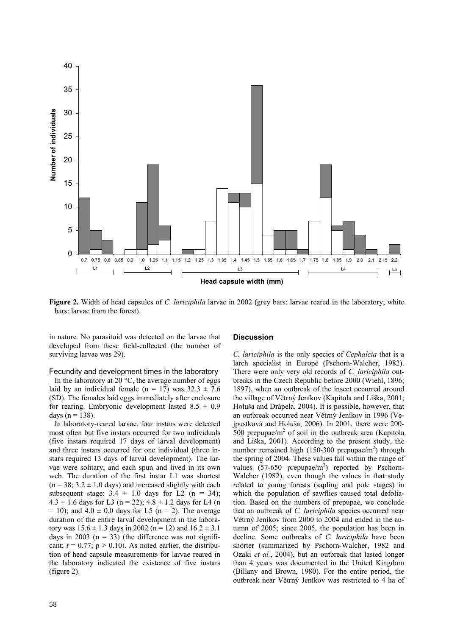

**Figure 2.** Width of head capsules of *C. lariciphila* larvae in 2002 (grey bars: larvae reared in the laboratory; white bars: larvae from the forest).

in nature. No parasitoid was detected on the larvae that developed from these field-collected (the number of surviving larvae was 29).

#### Fecundity and development times in the laboratory

In the laboratory at 20  $^{\circ}$ C, the average number of eggs laid by an individual female (n = 17) was  $32.3 \pm 7.6$ (SD). The females laid eggs immediately after enclosure for rearing. Embryonic development lasted  $8.5 \pm 0.9$ days ( $n = 138$ ).

In laboratory-reared larvae, four instars were detected most often but five instars occurred for two individuals (five instars required 17 days of larval development) and three instars occurred for one individual (three instars required 13 days of larval development). The larvae were solitary, and each spun and lived in its own web. The duration of the first instar L1 was shortest  $(n = 38: 3.2 \pm 1.0$  days) and increased slightly with each subsequent stage:  $3.4 \pm 1.0$  days for L2 (n = 34);  $4.3 \pm 1.6$  days for L3 (n = 22);  $4.8 \pm 1.2$  days for L4 (n  $= 10$ ); and  $4.0 \pm 0.0$  days for L5 (n = 2). The average duration of the entire larval development in the laboratory was  $15.6 \pm 1.3$  days in 2002 (n = 12) and  $16.2 \pm 3.1$ days in 2003 ( $n = 33$ ) (the difference was not significant;  $t = 0.77$ ;  $p > 0.10$ ). As noted earlier, the distribution of head capsule measurements for larvae reared in the laboratory indicated the existence of five instars (figure 2).

#### **Discussion**

*C. lariciphila* is the only species of *Cephalcia* that is a larch specialist in Europe (Pschorn-Walcher, 1982). There were only very old records of *C. lariciphila* outbreaks in the Czech Republic before 2000 (Wiehl, 1896; 1897), when an outbreak of the insect occurred around the village of Větrný Jeníkov (Kapitola and Liška, 2001; Holuša and Drápela, 2004). It is possible, however, that an outbreak occurred near Větrný Jeníkov in 1996 (Vejpustková and Holuša, 2006). In 2001, there were 200-  $500$  prepupae/m<sup>2</sup> of soil in the outbreak area (Kapitola and Liška, 2001). According to the present study, the number remained high  $(150-300 \text{ prepupae/m}^2)$  through the spring of 2004. These values fall within the range of values  $(57-650 \text{ prepupae/m}^2)$  reported by Pschorn-Walcher (1982), even though the values in that study related to young forests (sapling and pole stages) in which the population of sawflies caused total defoliation. Based on the numbers of prepupae, we conclude that an outbreak of *C. lariciphila* species occurred near Větrný Jeníkov from 2000 to 2004 and ended in the autumn of 2005; since 2005, the population has been in decline. Some outbreaks of *C. lariciphila* have been shorter (summarized by Pschorn-Walcher, 1982 and Ozaki *et al.*, 2004), but an outbreak that lasted longer than 4 years was documented in the United Kingdom (Billany and Brown, 1980). For the entire period, the outbreak near Větrný Jeníkov was restricted to 4 ha of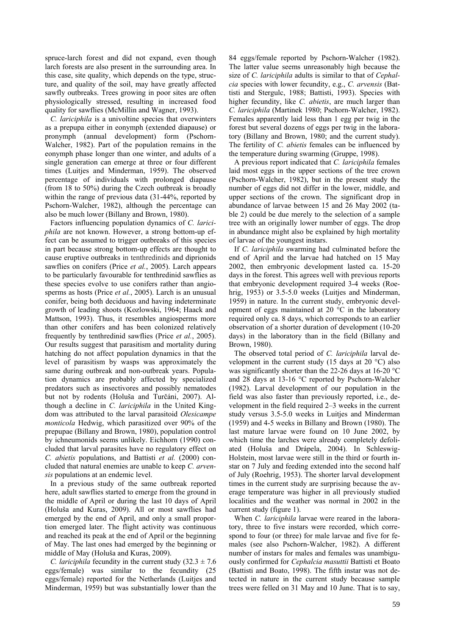spruce-larch forest and did not expand, even though larch forests are also present in the surrounding area. In this case, site quality, which depends on the type, structure, and quality of the soil, may have greatly affected sawfly outbreaks. Trees growing in poor sites are often physiologically stressed, resulting in increased food quality for sawflies (McMillin and Wagner, 1993).

*C. lariciphila* is a univoltine species that overwinters as a prepupa either in eonymph (extended diapause) or pronymph (annual development) form (Pschorn-Walcher, 1982). Part of the population remains in the eonymph phase longer than one winter, and adults of a single generation can emerge at three or four different times (Luitjes and Minderman, 1959). The observed percentage of individuals with prolonged diapause (from 18 to 50%) during the Czech outbreak is broadly within the range of previous data (31-44%, reported by Pschorn-Walcher, 1982), although the percentage can also be much lower (Billany and Brown, 1980).

Factors influencing population dynamics of *C. lariciphila* are not known. However, a strong bottom-up effect can be assumed to trigger outbreaks of this species in part because strong bottom-up effects are thought to cause eruptive outbreaks in tenthredinids and diprionids sawflies on conifers (Price *et al.*, 2005). Larch appears to be particularly favourable for tenthredinid sawflies as these species evolve to use conifers rather than angiosperms as hosts (Price *et al.*, 2005). Larch is an unusual conifer, being both deciduous and having indeterminate growth of leading shoots (Kozlowski, 1964; Haack and Mattson, 1993). Thus, it resembles angiosperms more than other conifers and has been colonized relatively frequently by tenthredinid sawflies (Price *et al.*, 2005). Our results suggest that parasitism and mortality during hatching do not affect population dynamics in that the level of parasitism by wasps was approximately the same during outbreak and non-outbreak years. Population dynamics are probably affected by specialized predators such as insectivores and possibly nematodes but not by rodents (Holuša and Turčáni, 2007). Although a decline in *C. lariciphila* in the United Kingdom was attributed to the larval parasitoid *Olesicampe monticola* Hedwig, which parasitized over 90% of the prepupae (Billany and Brown, 1980), population control by ichneumonids seems unlikely. Eichhorn (1990) concluded that larval parasites have no regulatory effect on *C. abietis* populations, and Battisti *et al.* (2000) concluded that natural enemies are unable to keep *C. arvensis* populations at an endemic level.

In a previous study of the same outbreak reported here, adult sawflies started to emerge from the ground in the middle of April or during the last 10 days of April (Holuša and Kuras, 2009). All or most sawflies had emerged by the end of April, and only a small proportion emerged later. The flight activity was continuous and reached its peak at the end of April or the beginning of May. The last ones had emerged by the beginning or middle of May (Holuša and Kuras, 2009).

*C. lariciphila* fecundity in the current study  $(32.3 \pm 7.6)$ eggs/female) was similar to the fecundity (25 eggs/female) reported for the Netherlands (Luitjes and Minderman, 1959) but was substantially lower than the

84 eggs/female reported by Pschorn-Walcher (1982). The latter value seems unreasonably high because the size of *C. lariciphila* adults is similar to that of *Cephalcia* species with lower fecundity, e.g., *C. arvensis* (Battisti and Stergulc, 1988; Battisti, 1993). Species with higher fecundity, like *C. abietis*, are much larger than *C. lariciphila* (Martinek 1980; Pschorn-Walcher, 1982). Females apparently laid less than 1 egg per twig in the forest but several dozens of eggs per twig in the laboratory (Billany and Brown, 1980; and the current study). The fertility of *C. abietis* females can be influenced by the temperature during swarming (Gruppe, 1998).

A previous report indicated that *C. lariciphila* females laid most eggs in the upper sections of the tree crown (Pschorn-Walcher, 1982), but in the present study the number of eggs did not differ in the lower, middle, and upper sections of the crown. The significant drop in abundance of larvae between 15 and 26 May 2002 (table 2) could be due merely to the selection of a sample tree with an originally lower number of eggs. The drop in abundance might also be explained by high mortality of larvae of the youngest instars.

If *C. lariciphila* swarming had culminated before the end of April and the larvae had hatched on 15 May 2002, then embryonic development lasted ca. 15-20 days in the forest. This agrees well with previous reports that embryonic development required 3-4 weeks (Roehrig, 1953) or 3.5-5.0 weeks (Luitjes and Minderman, 1959) in nature. In the current study, embryonic development of eggs maintained at 20 °C in the laboratory required only ca. 8 days, which corresponds to an earlier observation of a shorter duration of development (10-20 days) in the laboratory than in the field (Billany and Brown, 1980).

The observed total period of *C. lariciphila* larval development in the current study (15 days at 20  $^{\circ}$ C) also was significantly shorter than the 22-26 days at 16-20 °C and 28 days at 13-16 °C reported by Pschorn-Walcher (1982). Larval development of our population in the field was also faster than previously reported, i.e., development in the field required 2–3 weeks in the current study versus 3.5-5.0 weeks in Luitjes and Minderman (1959) and 4-5 weeks in Billany and Brown (1980). The last mature larvae were found on 10 June 2002, by which time the larches were already completely defoliated (Holuša and Drápela, 2004). In Schleswig-Holstein, most larvae were still in the third or fourth instar on 7 July and feeding extended into the second half of July (Roehrig, 1953). The shorter larval development times in the current study are surprising because the average temperature was higher in all previously studied localities and the weather was normal in 2002 in the current study (figure 1).

When *C. lariciphila* larvae were reared in the laboratory, three to five instars were recorded, which correspond to four (or three) for male larvae and five for females (see also Pschorn-Walcher, 1982). A different number of instars for males and females was unambiguously confirmed for *Cephalcia masuttii* Battisti et Boato (Battisti and Boato, 1998). The fifth instar was not detected in nature in the current study because sample trees were felled on 31 May and 10 June. That is to say,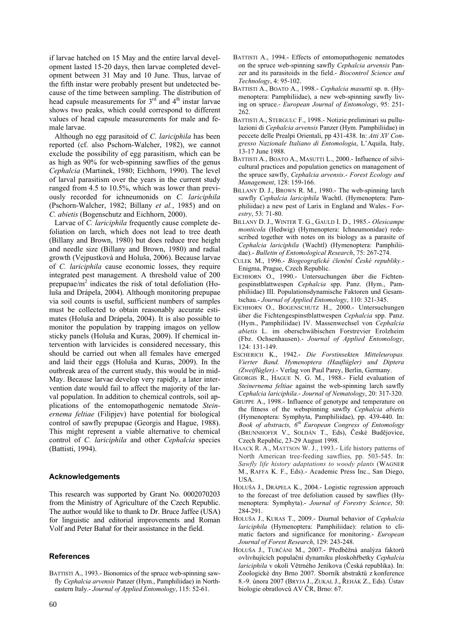if larvae hatched on 15 May and the entire larval development lasted 15-20 days, then larvae completed development between 31 May and 10 June. Thus, larvae of the fifth instar were probably present but undetected because of the time between sampling. The distribution of head capsule measurements for  $3<sup>rd</sup>$  and  $4<sup>th</sup>$  instar larvae shows two peaks, which could correspond to different values of head capsule measurements for male and female larvae.

Although no egg parasitoid of *C. lariciphila* has been reported (cf. also Pschorn-Walcher, 1982), we cannot exclude the possibility of egg parasitism, which can be as high as 90% for web-spinning sawflies of the genus *Cephalcia* (Martinek, 1980; Eichhorn, 1990). The level of larval parasitism over the years in the current study ranged from 4.5 to 10.5%, which was lower than previously recorded for ichneumonids on *C. lariciphila* (Pschorn-Walcher, 1982; Billany *et al.*, 1985) and on *C. abietis* (Bogenschutz and Eichhorn, 2000).

Larvae of *C. lariciphila* frequently cause complete defoliation on larch, which does not lead to tree death (Billany and Brown, 1980) but does reduce tree height and needle size (Billany and Brown, 1980) and radial growth (Vejpustková and Holuša, 2006). Because larvae of *C. lariciphila* cause economic losses, they require integrated pest management. A threshold value of 200 prepupae/ $m<sup>2</sup>$  indicates the risk of total defoliation (Holuša and Drápela, 2004). Although monitoring prepupae via soil counts is useful, sufficient numbers of samples must be collected to obtain reasonably accurate estimates (Holuša and Drápela, 2004). It is also possible to monitor the population by trapping imagos on yellow sticky panels (Holuša and Kuras, 2009). If chemical intervention with larvicides is considered necessary, this should be carried out when all females have emerged and laid their eggs (Holuša and Kuras, 2009). In the outbreak area of the current study, this would be in mid-May. Because larvae develop very rapidly, a later intervention date would fail to affect the majority of the larval population. In addition to chemical controls, soil applications of the entomopathogenic nematode *Steinernema feltiae* (Filipjev) have potential for biological control of sawfly prepupae (Georgis and Hague, 1988). This might represent a viable alternative to chemical control of *C. lariciphila* and other *Cephalcia* species (Battisti, 1994).

## **Acknowledgements**

This research was supported by Grant No. 0002070203 from the Ministry of Agriculture of the Czech Republic. The author would like to thank to Dr. Bruce Jaffee (USA) for linguistic and editorial improvements and Roman Volf and Peter Baňař for their assistance in the field.

#### **References**

BATTISTI A., 1993.- Bionomics of the spruce web-spinning sawfly *Cephalcia arvensis* Panzer (Hym., Pamphiliidae) in Northeastern Italy.- *Journal of Applied Entomology*, 115: 52-61.

- BATTISTI A., 1994.- Effects of entomopathogenic nematodes on the spruce web-spinning sawfly *Cephalcia arvensis* Panzer and its parasitoids in the field.- *Biocontrol Science and Technology*, 4: 95-102.
- BATTISTI A., BOATO A., 1998.- *Cephalcia masuttii* sp. n. (Hymenoptera: Pamphiliidae), a new web-spinning sawfly living on spruce.- *European Journal of Entomology*, 95: 251- 262.
- BATTISTI A., STERGULC F., 1998.- Notizie preliminari su pullulazioni di *Cephalcia arvensis* Panzer (Hym. Pamphiliidae) in peccete delle Prealpi Orientali, pp 431-438. In: *Atti XV Congresso Nazionale Italiano di Entomologia*, L'Aquila, Italy, 13-17 June 1988.
- BATTISTI A., BOATO A., MASUTTI L., 2000.- Influence of silvicultural practices and population genetics on management of the spruce sawfly, *Cephalcia arvensis*.- *Forest Ecology and Management*, 128: 159-166.
- BILLANY D. J., BROWN R. M., 1980.- The web-spinning larch sawfly *Cephalcia lariciphila* Wachtl. (Hymenoptera: Pamphiliidae) a new pest of Larix in England and Wales.- F*orestry*, 53: 71-80.
- BILLANY D. J., WINTER T. G., GAULD I. D., 1985.- *Olesicampe monticola* (Hedwig) (Hymenoptera: Ichneumonidae) redescribed together with notes on its biology as a parasite of *Cephalcia lariciphila* (Wachtl) (Hymenoptera: Pamphiliidae).- *Bulletin of Entomological Research*, 75: 267-274.
- CULEK M., 1996.- *Biogeografické členění České republiky*.- Enigma, Prague, Czech Republic.
- EICHHORN O., 1990.- Untersuchungen über die Fichtengespinstblattwespen *Cephalcia* spp. Panz. (Hym., Pamphiliidae) III. Populationsdynamische Faktoren und Gesamtschau.- *Journal of Applied Entomology*, 110: 321-345.
- EICHHORN O., BOGENSCHUTZ H., 2000.- Untersuchungen über die Fichtengespinstblattwespen *Cephalcia* spp. Panz. (Hym., Pamphiliidae) IV. Massenwechsel von *Cephalcia abietis* L. im oberschwäbischen Forstrevier Erolzheim (Fbz. Ochsenhausen).- *Journal of Applied Entomology*, 124: 131-149.
- ESCHERICH K., 1942.- *Die Forstinsekten Mitteleuropas. Vierter Band. Hymenoptera (Hauflügler) und Diptera (Zweiflügler)*.- Verlag von Paul Parey, Berlin, Germany.
- GEORGIS R., HAGUE N. G. M., 1988.- Field evaluation of *Steinernema feltiae* against the web-spinning larch sawfly *Cephalcia lariciphila*.- *Journal of Nematology*, 20: 317-320.
- GRUPPE A., 1998.- Influence of genotype and temperature on the fitness of the webspinning sawfly *Cephalcia abietis* (Hymenoptera: Symphyta, Pamphiliidae), pp. 439-440. In: *Book of abstracts, 6th European Congress of Entomology* (BRUNNHOFER V., SOLDÁN T., Eds), České Budějovice, Czech Republic, 23-29 August 1998.
- HAACK R. A., MATTSON W. J., 1993.- Life history patterns of North American tree-feeding sawflies, pp. 503-545. In: *Sawfly life history adaptations to woody plants* (WAGNER M., RAFFA K. F., Eds).- Academic Press Inc., San Diego, USA.
- HOLUŠA J., DRÁPELA K., 2004.- Logistic regression approach to the forecast of tree defoliation caused by sawflies (Hymenoptera: Symphyta).- *Journal of Forestry Science*, 50: 284-291.
- HOLUŠA J., KURAS T., 2009.- Diurnal behavior of *Cephalcia lariciphila* (Hymenoptera: Pamphiliidae): relation to climatic factors and significance for monitoring.- *European Journal of Forest Research*, 129: 243-248.
- HOLUŠA J., TURČÁNI M., 2007.- Předběžná analýza faktorů ovlivňujících populační dynamiku ploskohřbetky *Cephalcia lariciphila* v okolí Větrného Jeníkova (Česká republika). In: Zoologické dny Brno 2007. Sborník abstraktů z konference 8.-9. února 2007 (BRYJA J., ZUKAL J., ŘEHÁK Z., Eds). Ústav biologie obratlovců AV ČR, Brno: 67.